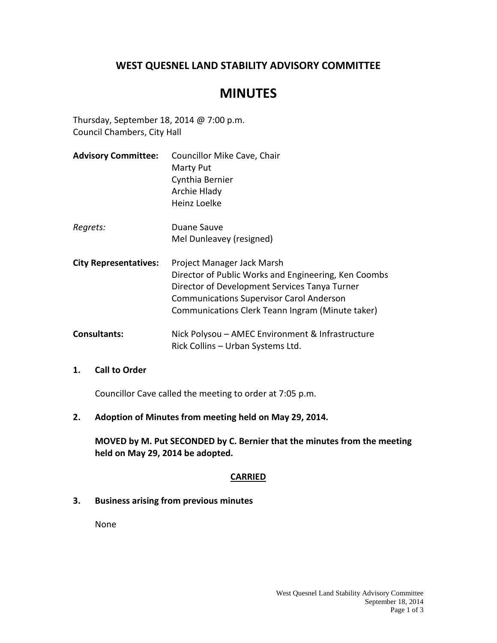# **WEST QUESNEL LAND STABILITY ADVISORY COMMITTEE**

# **MINUTES**

Thursday, September 18, 2014 @ 7:00 p.m. Council Chambers, City Hall

**Advisory Committee:** Councillor Mike Cave, Chair Marty Put Cynthia Bernier Archie Hlady Heinz Loelke Regrets: Duane Sauve Mel Dunleavey (resigned) **City Representatives:** Project Manager Jack Marsh Director of Public Works and Engineering, Ken Coombs Director of Development Services Tanya Turner Communications Supervisor Carol Anderson Communications Clerk Teann Ingram (Minute taker) **Consultants:** Nick Polysou – AMEC Environment & Infrastructure Rick Collins – Urban Systems Ltd.

#### **1. Call to Order**

Councillor Cave called the meeting to order at 7:05 p.m.

**2. Adoption of Minutes from meeting held on May 29, 2014.**

**MOVED by M. Put SECONDED by C. Bernier that the minutes from the meeting held on May 29, 2014 be adopted.**

# **CARRIED**

**3. Business arising from previous minutes**

None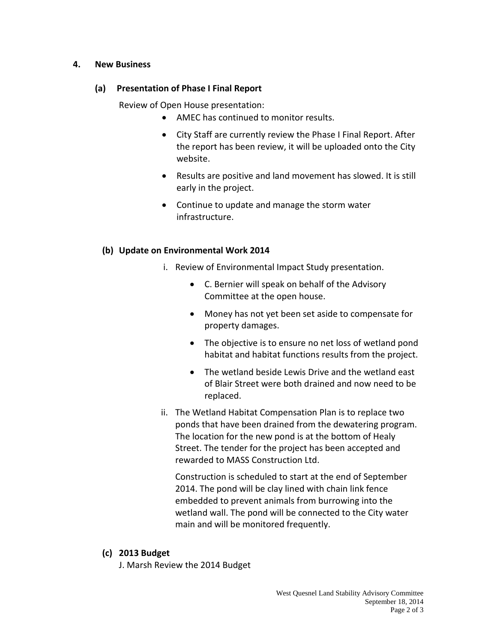#### **4. New Business**

#### **(a) Presentation of Phase I Final Report**

Review of Open House presentation:

- AMEC has continued to monitor results.
- City Staff are currently review the Phase I Final Report. After the report has been review, it will be uploaded onto the City website.
- Results are positive and land movement has slowed. It is still early in the project.
- Continue to update and manage the storm water infrastructure.

## **(b) Update on Environmental Work 2014**

- i. Review of Environmental Impact Study presentation.
	- C. Bernier will speak on behalf of the Advisory Committee at the open house.
	- Money has not yet been set aside to compensate for property damages.
	- The objective is to ensure no net loss of wetland pond habitat and habitat functions results from the project.
	- The wetland beside Lewis Drive and the wetland east of Blair Street were both drained and now need to be replaced.
- ii. The Wetland Habitat Compensation Plan is to replace two ponds that have been drained from the dewatering program. The location for the new pond is at the bottom of Healy Street. The tender for the project has been accepted and rewarded to MASS Construction Ltd.

Construction is scheduled to start at the end of September 2014. The pond will be clay lined with chain link fence embedded to prevent animals from burrowing into the wetland wall. The pond will be connected to the City water main and will be monitored frequently.

#### **(c) 2013 Budget**

J. Marsh Review the 2014 Budget